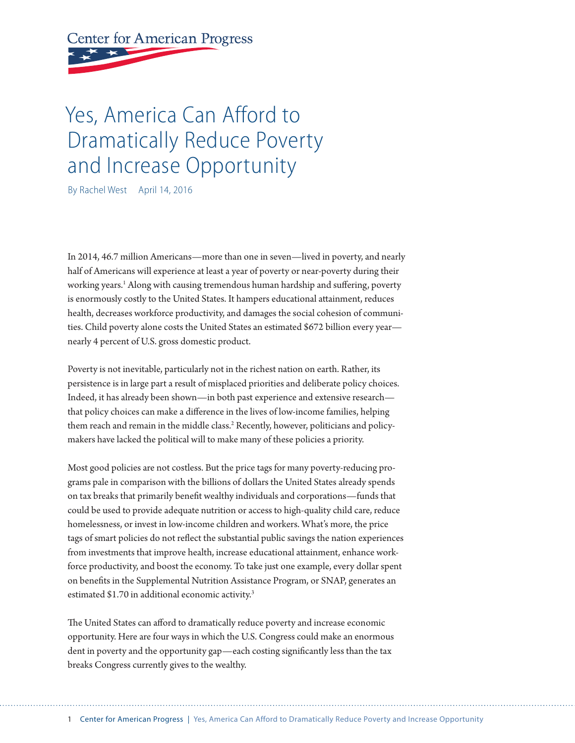**Center for American Progress** 

# Yes, America Can Afford to Dramatically Reduce Poverty and Increase Opportunity

By Rachel West April 14, 2016

In 2014, 46.7 million Americans—more than one in seven—lived in poverty, and nearly half of Americans will experience at least a year of poverty or near-poverty during their working years.<sup>1</sup> Along with causing tremendous human hardship and suffering, poverty is enormously costly to the United States. It hampers educational attainment, reduces health, decreases workforce productivity, and damages the social cohesion of communities. Child poverty alone costs the United States an estimated \$672 billion every year nearly 4 percent of U.S. gross domestic product.

Poverty is not inevitable, particularly not in the richest nation on earth. Rather, its persistence is in large part a result of misplaced priorities and deliberate policy choices. Indeed, it has already been shown—in both past experience and extensive research that policy choices can make a difference in the lives of low-income families, helping them reach and remain in the middle class.<sup>2</sup> Recently, however, politicians and policymakers have lacked the political will to make many of these policies a priority.

Most good policies are not costless. But the price tags for many poverty-reducing programs pale in comparison with the billions of dollars the United States already spends on tax breaks that primarily benefit wealthy individuals and corporations—funds that could be used to provide adequate nutrition or access to high-quality child care, reduce homelessness, or invest in low-income children and workers. What's more, the price tags of smart policies do not reflect the substantial public savings the nation experiences from investments that improve health, increase educational attainment, enhance workforce productivity, and boost the economy. To take just one example, every dollar spent on benefits in the Supplemental Nutrition Assistance Program, or SNAP, generates an estimated \$1.70 in additional economic activity.<sup>3</sup>

The United States can afford to dramatically reduce poverty and increase economic opportunity. Here are four ways in which the U.S. Congress could make an enormous dent in poverty and the opportunity gap—each costing significantly less than the tax breaks Congress currently gives to the wealthy.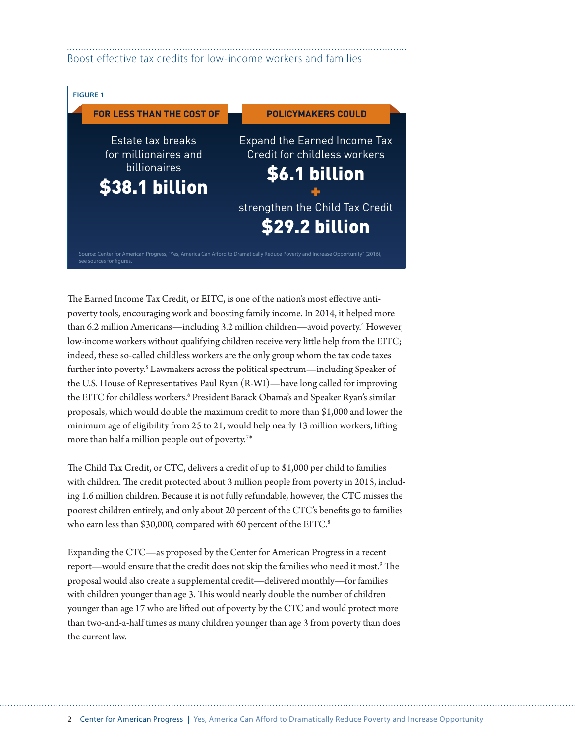### Boost effective tax credits for low-income workers and families



The Earned Income Tax Credit, or EITC, is one of the nation's most effective antipoverty tools, encouraging work and boosting family income. In 2014, it helped more than 6.2 million Americans—including 3.2 million children—avoid poverty.<sup>4</sup> However, low-income workers without qualifying children receive very little help from the EITC; indeed, these so-called childless workers are the only group whom the tax code taxes further into poverty.<sup>5</sup> Lawmakers across the political spectrum—including Speaker of the U.S. House of Representatives Paul Ryan (R-WI)—have long called for improving the EITC for childless workers.<sup>6</sup> President Barack Obama's and Speaker Ryan's similar proposals, which would double the maximum credit to more than \$1,000 and lower the minimum age of eligibility from 25 to 21, would help nearly 13 million workers, lifting more than half a million people out of poverty. $7\ast$ 

The Child Tax Credit, or CTC, delivers a credit of up to \$1,000 per child to families with children. The credit protected about 3 million people from poverty in 2015, including 1.6 million children. Because it is not fully refundable, however, the CTC misses the poorest children entirely, and only about 20 percent of the CTC's benefits go to families who earn less than \$30,000, compared with 60 percent of the EITC.<sup>8</sup>

Expanding the CTC—as proposed by the Center for American Progress in a recent report—would ensure that the credit does not skip the families who need it most.9 The proposal would also create a supplemental credit—delivered monthly—for families with children younger than age 3. This would nearly double the number of children younger than age 17 who are lifted out of poverty by the CTC and would protect more than two-and-a-half times as many children younger than age 3 from poverty than does the current law.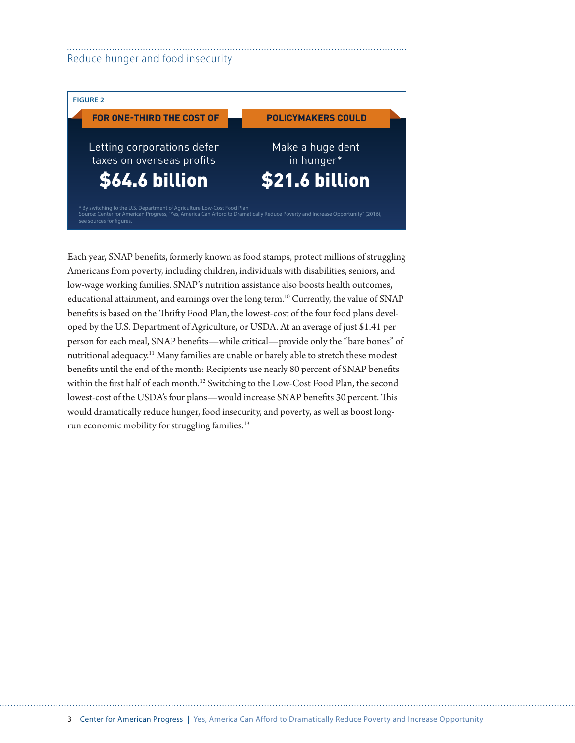#### Reduce hunger and food insecurity



Each year, SNAP benefits, formerly known as food stamps, protect millions of struggling Americans from poverty, including children, individuals with disabilities, seniors, and low-wage working families. SNAP's nutrition assistance also boosts health outcomes, educational attainment, and earnings over the long term.<sup>10</sup> Currently, the value of SNAP benefits is based on the Thrifty Food Plan, the lowest-cost of the four food plans developed by the U.S. Department of Agriculture, or USDA. At an average of just \$1.41 per person for each meal, SNAP benefits—while critical—provide only the "bare bones" of nutritional adequacy.11 Many families are unable or barely able to stretch these modest benefits until the end of the month: Recipients use nearly 80 percent of SNAP benefits within the first half of each month.<sup>12</sup> Switching to the Low-Cost Food Plan, the second lowest-cost of the USDA's four plans—would increase SNAP benefits 30 percent. This would dramatically reduce hunger, food insecurity, and poverty, as well as boost longrun economic mobility for struggling families.<sup>13</sup>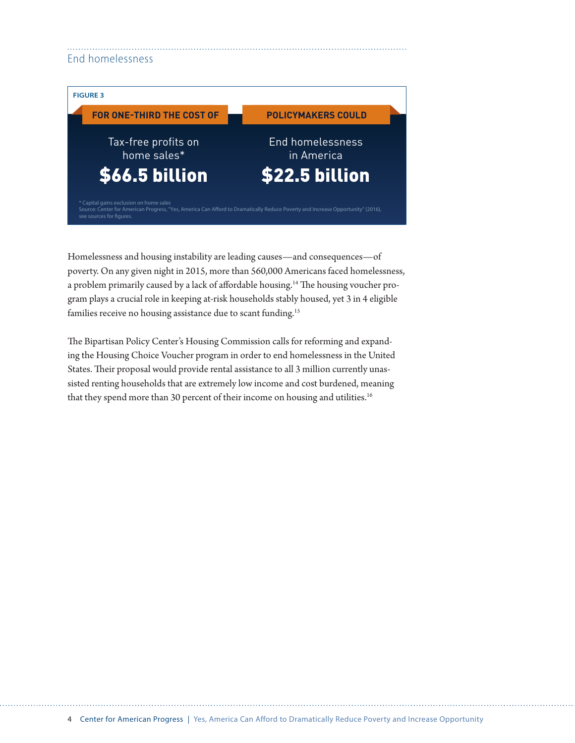#### End homelessness



Homelessness and housing instability are leading causes—and consequences—of poverty. On any given night in 2015, more than 560,000 Americans faced homelessness, a problem primarily caused by a lack of affordable housing.<sup>14</sup> The housing voucher program plays a crucial role in keeping at-risk households stably housed, yet 3 in 4 eligible families receive no housing assistance due to scant funding.<sup>15</sup>

The Bipartisan Policy Center's Housing Commission calls for reforming and expanding the Housing Choice Voucher program in order to end homelessness in the United States. Their proposal would provide rental assistance to all 3 million currently unassisted renting households that are extremely low income and cost burdened, meaning that they spend more than 30 percent of their income on housing and utilities.<sup>16</sup>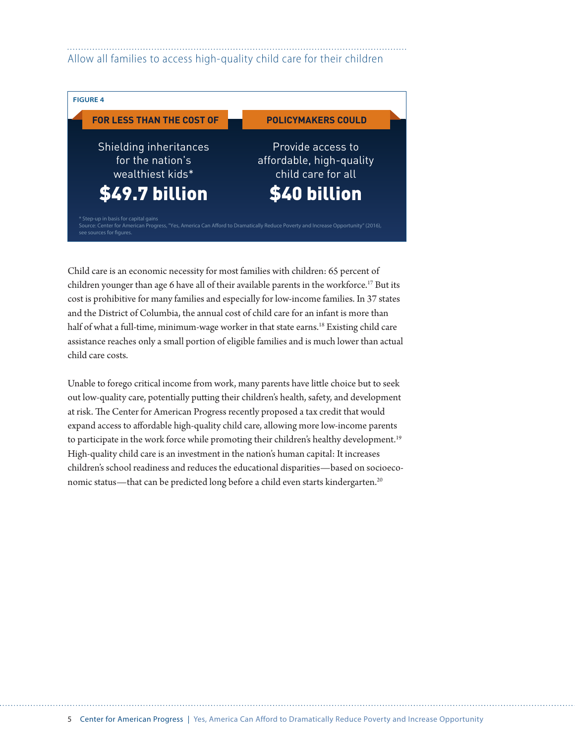### Allow all families to access high-quality child care for their children



Child care is an economic necessity for most families with children: 65 percent of children younger than age 6 have all of their available parents in the workforce.<sup>17</sup> But its cost is prohibitive for many families and especially for low-income families. In 37 states and the District of Columbia, the annual cost of child care for an infant is more than half of what a full-time, minimum-wage worker in that state earns.<sup>18</sup> Existing child care assistance reaches only a small portion of eligible families and is much lower than actual child care costs.

Unable to forego critical income from work, many parents have little choice but to seek out low-quality care, potentially putting their children's health, safety, and development at risk. The Center for American Progress recently proposed a tax credit that would expand access to affordable high-quality child care, allowing more low-income parents to participate in the work force while promoting their children's healthy development.<sup>19</sup> High-quality child care is an investment in the nation's human capital: It increases children's school readiness and reduces the educational disparities—based on socioeconomic status—that can be predicted long before a child even starts kindergarten.<sup>20</sup>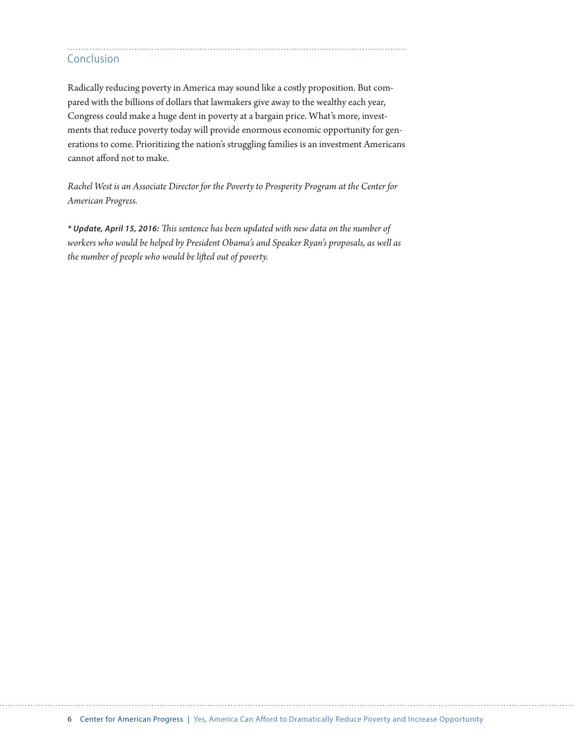## Conclusion

Radically reducing poverty in America may sound like a costly proposition. But compared with the billions of dollars that lawmakers give away to the wealthy each year, Congress could make a huge dent in poverty at a bargain price. What's more, investments that reduce poverty today will provide enormous economic opportunity for generations to come. Prioritizing the nation's struggling families is an investment Americans cannot afford not to make.

*Rachel West is an Associate Director for the Poverty to Prosperity Program at the Center for American Progress.* 

*\* Update, April 15, 2016: This sentence has been updated with new data on the number of workers who would be helped by President Obama's and Speaker Ryan's proposals, as well as the number of people who would be lifted out of poverty.*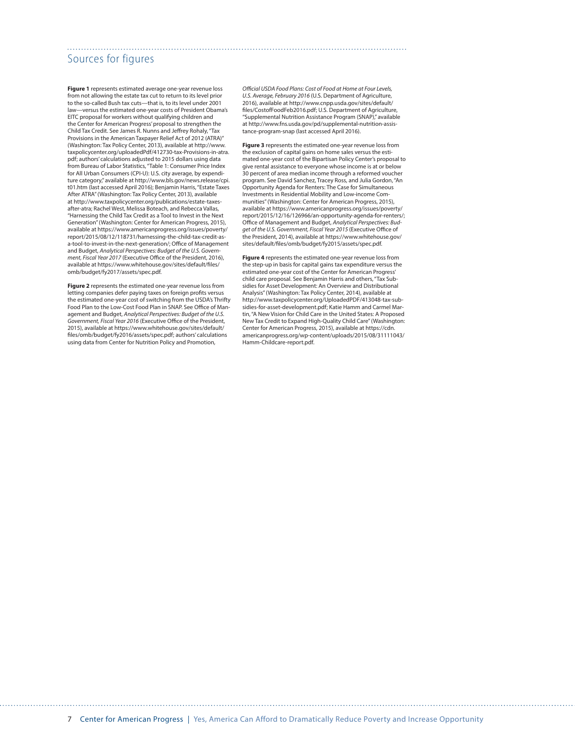#### Sources for figures

**Figure 1** represents estimated average one-year revenue loss from not allowing the estate tax cut to return to its level prior to the so-called Bush tax cuts—that is, to its level under 2001 law—versus the estimated one-year costs of President Obama's EITC proposal for workers without qualifying children and the Center for American Progress' proposal to strengthen the Child Tax Credit. See James R. Nunns and Jeffrey Rohaly, "Tax Provisions in the American Taxpayer Relief Act of 2012 (ATRA)" (Washington: Tax Policy Center, 2013), available at http://www. taxpolicycenter.org/uploadedPdf/412730-tax-Provisions-in-atra. pdf; authors' calculations adjusted to 2015 dollars using data from Bureau of Labor Statistics, "Table 1: Consumer Price Index for All Urban Consumers (CPI-U): U.S. city average, by expenditure category," available at http://www.bls.gov/news.release/cpi. t01.htm (last accessed April 2016); Benjamin Harris, "Estate Taxes After ATRA" (Washington: Tax Policy Center, 2013), available at http://www.taxpolicycenter.org/publications/estate-taxesafter-atra; Rachel West, Melissa Boteach, and Rebecca Vallas, "Harnessing the Child Tax Credit as a Tool to Invest in the Next Generation" (Washington: Center for American Progress, 2015), available at https://www.americanprogress.org/issues/poverty/ report/2015/08/12/118731/harnessing-the-child-tax-credit-asa-tool-to-invest-in-the-next-generation/; Office of Management and Budget, *Analytical Perspectives: Budget of the U.S. Government, Fiscal Year 2017* (Executive Office of the President, 2016), available at [https://www.whitehouse.gov/sites/default/files/](https://www.whitehouse.gov/sites/default/files/omb/budget/fy2017/assets/spec.pdf) [omb/budget/fy2017/assets/spec.pdf.](https://www.whitehouse.gov/sites/default/files/omb/budget/fy2017/assets/spec.pdf)

**Figure 2** represents the estimated one-year revenue loss from letting companies defer paying taxes on foreign profits versus the estimated one-year cost of switching from the USDA's Thrifty Food Plan to the Low-Cost Food Plan in SNAP. See Office of Management and Budget, *Analytical Perspectives: Budget of the U.S. Government, Fiscal Year 2016* (Executive Office of the President, 2015), available at https://www.whitehouse.gov/sites/default/ files/omb/budget/fy2016/assets/spec.pdf; authors' calculations using data from Center for Nutrition Policy and Promotion*,* 

*Official USDA Food Plans: Cost of Food at Home at Four Levels, U.S. Average, February 2016* (U.S. Department of Agriculture, 2016), available at http://www.cnpp.usda.gov/sites/default/ files/CostofFoodFeb2016.pdf; U.S. Department of Agriculture, "Supplemental Nutrition Assistance Program (SNAP)," available at [http://www.fns.usda.gov/pd/supplemental-nutrition-assis](http://www.fns.usda.gov/pd/supplemental-nutrition-assistance-program-snap)[tance-program-snap](http://www.fns.usda.gov/pd/supplemental-nutrition-assistance-program-snap) (last accessed April 2016).

**Figure 3** represents the estimated one-year revenue loss from the exclusion of capital gains on home sales versus the estimated one-year cost of the Bipartisan Policy Center's proposal to give rental assistance to everyone whose income is at or below 30 percent of area median income through a reformed voucher program. See David Sanchez, Tracey Ross, and Julia Gordon, "An Opportunity Agenda for Renters: The Case for Simultaneous Investments in Residential Mobility and Low-income Communities" (Washington: Center for American Progress, 2015), available at https://www.americanprogress.org/issues/poverty/ report/2015/12/16/126966/an-opportunity-agenda-for-renters/; Office of Management and Budget, *Analytical Perspectives: Budget of the U.S. Government, Fiscal Year 2015* (Executive Office of the President, 2014), available at https://www.whitehouse.gov/ sites/default/files/omb/budget/fy2015/assets/spec.pdf.

**Figure 4** represents the estimated one-year revenue loss from the step-up in basis for capital gains tax expenditure versus the estimated one-year cost of the Center for American Progress' child care proposal. See Benjamin Harris and others, "Tax Subsidies for Asset Development: An Overview and Distributional Analysis" (Washington: Tax Policy Center, 2014), available at http://www.taxpolicycenter.org/UploadedPDF/413048-tax-subsidies-for-asset-development.pdf; Katie Hamm and Carmel Martin, "A New Vision for Child Care in the United States: A Proposed New Tax Credit to Expand High-Quality Child Care" (Washington: Center for American Progress, 2015), available at [https://cdn.](https://cdn.americanprogress.org/wp-content/uploads/2015/08/31111043/Hamm-Childcare-report.pdf) [americanprogress.org/wp-content/uploads/2015/08/31111043/](https://cdn.americanprogress.org/wp-content/uploads/2015/08/31111043/Hamm-Childcare-report.pdf) [Hamm-Childcare-report.pdf.](https://cdn.americanprogress.org/wp-content/uploads/2015/08/31111043/Hamm-Childcare-report.pdf)